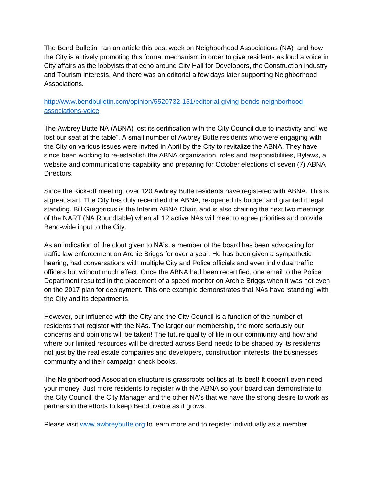The Bend Bulletin ran an article this past week on Neighborhood Associations (NA) and how the City is actively promoting this formal mechanism in order to give residents as loud a voice in City affairs as the lobbyists that echo around City Hall for Developers, the Construction industry and Tourism interests. And there was an editorial a few days later supporting Neighborhood Associations.

## [http://www.bendbulletin.com/opinion/5520732-151/editorial-giving-bends-neighborhood](https://www.awbreybutte.org/lm/lm.php?tk=SnVsaWUJU21pdGgJCWR1dGNoZXJzbWl0aEBnbWFpbC5jb20JQSBicmllZiB1cGRhdGUgb24gcHJvZ3Jlc3MgaW4gcmUtZXN0YWJsaXNoaW5nIHRoZSBBd2JyZXkgQnV0dGUgTmVpZ2hib3Job29kIEFzc29jaWF0aW9uCTc5CUFCTkEgTWVtYmVycwkxMTkJY2xpY2sJeWVzCW5v&url=http%3A%2F%2Fwww.bendbulletin.com%2Fopinion%2F5520732-151%2Feditorial-giving-bends-neighborhood-associations-voice)[associations-voice](https://www.awbreybutte.org/lm/lm.php?tk=SnVsaWUJU21pdGgJCWR1dGNoZXJzbWl0aEBnbWFpbC5jb20JQSBicmllZiB1cGRhdGUgb24gcHJvZ3Jlc3MgaW4gcmUtZXN0YWJsaXNoaW5nIHRoZSBBd2JyZXkgQnV0dGUgTmVpZ2hib3Job29kIEFzc29jaWF0aW9uCTc5CUFCTkEgTWVtYmVycwkxMTkJY2xpY2sJeWVzCW5v&url=http%3A%2F%2Fwww.bendbulletin.com%2Fopinion%2F5520732-151%2Feditorial-giving-bends-neighborhood-associations-voice)

The Awbrey Butte NA (ABNA) lost its certification with the City Council due to inactivity and "we lost our seat at the table". A small number of Awbrey Butte residents who were engaging with the City on various issues were invited in April by the City to revitalize the ABNA. They have since been working to re-establish the ABNA organization, roles and responsibilities, Bylaws, a website and communications capability and preparing for October elections of seven (7) ABNA Directors.

Since the Kick-off meeting, over 120 Awbrey Butte residents have registered with ABNA. This is a great start. The City has duly recertified the ABNA, re-opened its budget and granted it legal standing. Bill Gregoricus is the Interim ABNA Chair, and is also chairing the next two meetings of the NART (NA Roundtable) when all 12 active NAs will meet to agree priorities and provide Bend-wide input to the City.

As an indication of the clout given to NA's, a member of the board has been advocating for traffic law enforcement on Archie Briggs for over a year. He has been given a sympathetic hearing, had conversations with multiple City and Police officials and even individual traffic officers but without much effect. Once the ABNA had been recertified, one email to the Police Department resulted in the placement of a speed monitor on Archie Briggs when it was not even on the 2017 plan for deployment. This one example demonstrates that NAs have 'standing' with the City and its departments.

However, our influence with the City and the City Council is a function of the number of residents that register with the NAs. The larger our membership, the more seriously our concerns and opinions will be taken! The future quality of life in our community and how and where our limited resources will be directed across Bend needs to be shaped by its residents not just by the real estate companies and developers, construction interests, the businesses community and their campaign check books.

The Neighborhood Association structure is grassroots politics at its best! It doesn't even need your money! Just more residents to register with the ABNA so your board can demonstrate to the City Council, the City Manager and the other NA's that we have the strong desire to work as partners in the efforts to keep Bend livable as it grows.

Please visit [www.awbreybutte.org](http://www.awbreybutte.org/) to learn more and to register individually as a member.